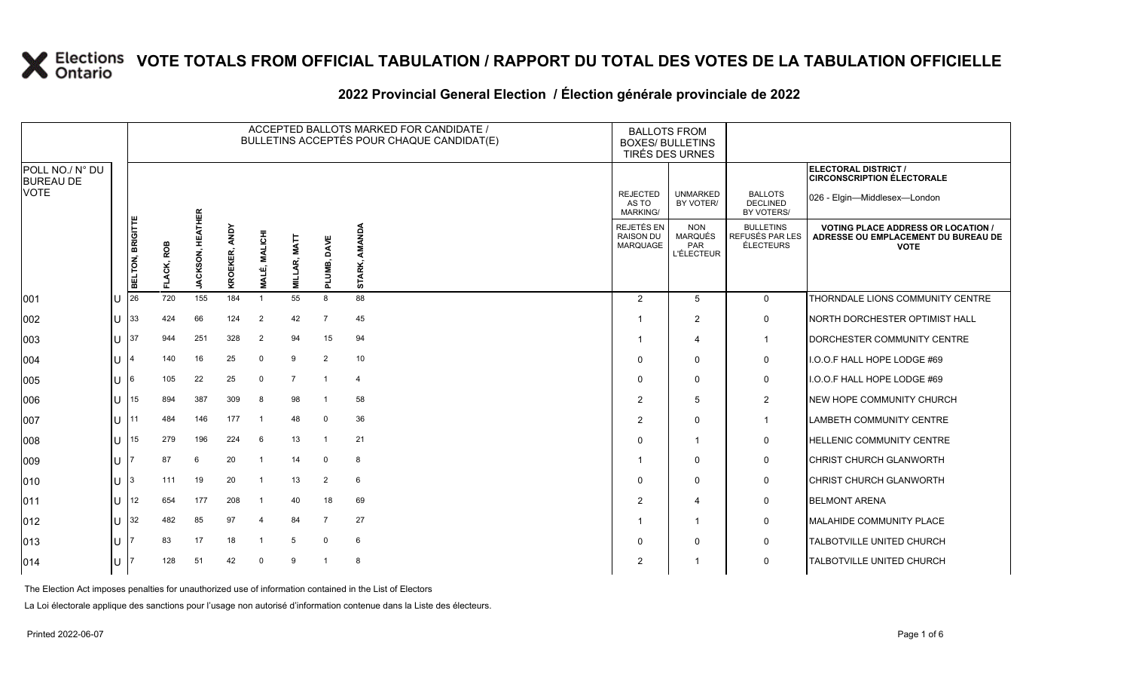# 2022 Provincial General Election / Election générale provinciale de 2022

|                                     |     | ACCEPTED BALLOTS MARKED FOR CANDIDATE /<br>BULLETINS ACCEPTÉS POUR CHAQUE CANDIDAT(E) |              |                                 |               |                         |                  |                            |                  | <b>BALLOTS FROM</b>                         | <b>BOXES/ BULLETINS</b><br>TIRÉS DES URNES        |                                                  |                                                                                                 |
|-------------------------------------|-----|---------------------------------------------------------------------------------------|--------------|---------------------------------|---------------|-------------------------|------------------|----------------------------|------------------|---------------------------------------------|---------------------------------------------------|--------------------------------------------------|-------------------------------------------------------------------------------------------------|
| POLL NO./ N° DU<br><b>BUREAU DE</b> |     |                                                                                       |              |                                 |               |                         |                  |                            |                  |                                             |                                                   |                                                  | <b>ELECTORAL DISTRICT /</b><br><b>CIRCONSCRIPTION ÉLECTORALE</b>                                |
| <b>VOTE</b>                         |     |                                                                                       |              |                                 |               |                         |                  |                            |                  | <b>REJECTED</b><br>AS TO<br><b>MARKING/</b> | <b>UNMARKED</b><br>BY VOTER/                      | <b>BALLOTS</b><br><b>DECLINED</b><br>BY VOTERS/  | 026 - Elgin-Middlesex-London                                                                    |
|                                     |     | BELTON, BRIGITTE                                                                      | ROB<br>LACK. | <b>ATHER</b><br><b>JACKSON,</b> | KROEKER, ANDY | <b>MALICHI</b><br>MALÉ, | MAT<br>МILI<br>М | DAVE<br>≃<br>ξ<br>$\Omega$ | AMANDA<br>STARK, | REJETÉS EN<br><b>RAISON DU</b><br>MARQUAGE  | <b>NON</b><br>MARQUÉS<br><b>PAR</b><br>L'ÉLECTEUR | <b>BULLETINS</b><br>REFUSÉS PAR LES<br>ÉLECTEURS | <b>VOTING PLACE ADDRESS OR LOCATION /</b><br>ADRESSE OU EMPLACEMENT DU BUREAU DE<br><b>VOTE</b> |
| 001                                 | lU. | 26                                                                                    | 720          | 155                             | 184           | $\overline{1}$          | 55               | 8                          | 88               | 2                                           | 5                                                 | $\Omega$                                         | THORNDALE LIONS COMMUNITY CENTRE                                                                |
| 002                                 | ΙU  | 33                                                                                    | 424          | 66                              | 124           | $\overline{2}$          | 42               | $\overline{7}$             | 45               |                                             | $\overline{2}$                                    | 0                                                | <b>INORTH DORCHESTER OPTIMIST HALL</b>                                                          |
| 003                                 | ΠT  | 37                                                                                    | 944          | 251                             | 328           | $\overline{2}$          | 94               | 15                         | 94               |                                             | 4                                                 | $\mathbf{1}$                                     | DORCHESTER COMMUNITY CENTRE                                                                     |
| 004                                 | ΙU  |                                                                                       | 140          | 16                              | 25            | $\mathbf 0$             | 9                | $\overline{2}$             | 10               | 0                                           | $\Omega$                                          | 0                                                | I.O.O.F HALL HOPE LODGE #69                                                                     |
| 005                                 | U   |                                                                                       | 105          | 22                              | 25            | $\Omega$                | $\overline{7}$   | $\overline{1}$             | $\overline{4}$   | $\Omega$                                    | $\mathbf 0$                                       | 0                                                | I.O.O.F HALL HOPE LODGE #69                                                                     |
| 006                                 | ΙU  | 15                                                                                    | 894          | 387                             | 309           | 8                       | 98               |                            | 58               | 2                                           | 5                                                 | $\overline{a}$                                   | <b>INEW HOPE COMMUNITY CHURCH</b>                                                               |
| 007                                 | ΙU  |                                                                                       | 484          | 146                             | 177           | -1                      | 48               | $\overline{0}$             | 36               | $\overline{2}$                              | 0                                                 | $\mathbf{1}$                                     | <b>LAMBETH COMMUNITY CENTRE</b>                                                                 |
| 008                                 | U   | 15                                                                                    | 279          | 196                             | 224           | 6                       | 13               | $\overline{1}$             | 21               | 0                                           | $\overline{\phantom{a}}$                          | 0                                                | <b>HELLENIC COMMUNITY CENTRE</b>                                                                |
| 009                                 | lU. |                                                                                       | 87           | 6                               | 20            |                         | 14               | $\overline{0}$             | 8                |                                             | $\mathbf 0$                                       | 0                                                | <b>CHRIST CHURCH GLANWORTH</b>                                                                  |
| $ 010\rangle$                       | U   |                                                                                       | 111          | 19                              | 20            | -1                      | 13               | $\overline{2}$             | 6                | $\Omega$                                    | 0                                                 | 0                                                | <b>CHRIST CHURCH GLANWORTH</b>                                                                  |
| 011                                 | U   | 12                                                                                    | 654          | 177                             | 208           |                         | 40               | 18                         | 69               | $\overline{2}$                              | $\overline{4}$                                    | 0                                                | <b>BELMONT ARENA</b>                                                                            |
| $ 012\rangle$                       | lU. | 32                                                                                    | 482          | 85                              | 97            |                         | 84               | $\overline{7}$             | 27               |                                             | 1                                                 | 0                                                | MALAHIDE COMMUNITY PLACE                                                                        |
| $ 013\rangle$                       | ΠT  |                                                                                       | 83           | 17                              | 18            |                         | 5                | $\mathbf 0$                | 6                | $\Omega$                                    | $\mathbf 0$                                       | 0                                                | TALBOTVILLE UNITED CHURCH                                                                       |
| 014                                 | ΙU  |                                                                                       | 128          | 51                              | 42            | $\Omega$                | 9                |                            | 8                | 2                                           |                                                   | 0                                                | TALBOTVILLE UNITED CHURCH                                                                       |

The Election Act imposes penalties for unauthorized use of information contained in the List of Electors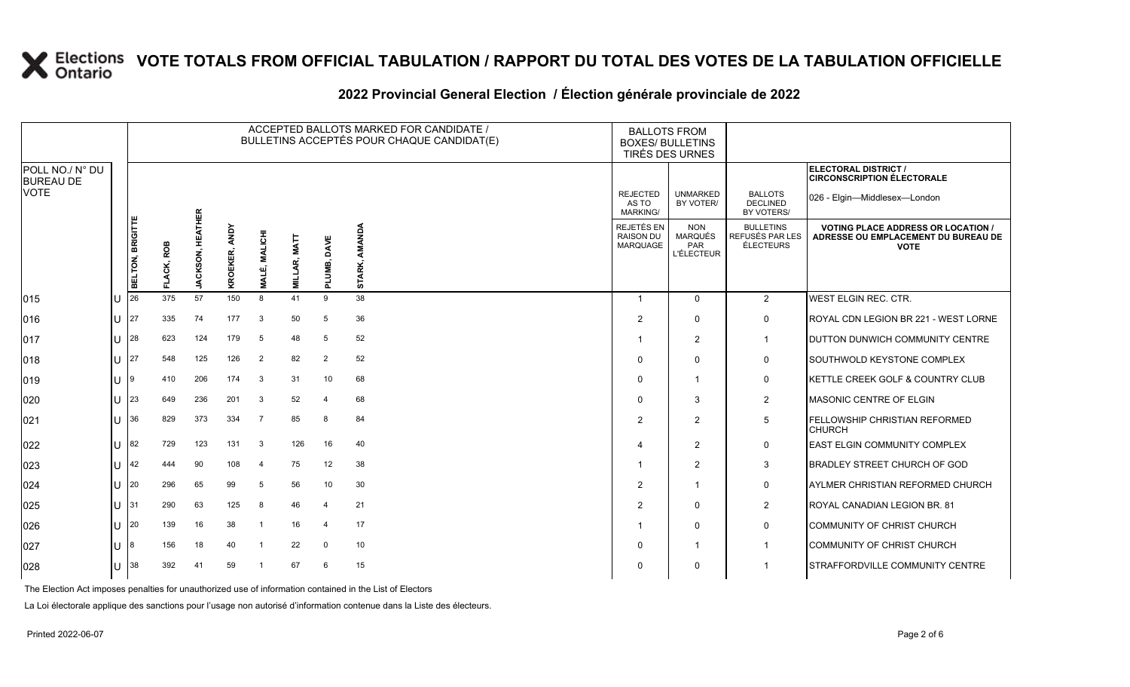#### **2022 Provincial General Election / Élection générale provinciale de 2022**

|                                     |                               |                  |              |                                   |                         |                                    |                               |                | ACCEPTED BALLOTS MARKED FOR CANDIDATE /<br>BULLETINS ACCEPTÉS POUR CHAQUE CANDIDAT(E) |                                                   | <b>BALLOTS FROM</b><br><b>BOXES/ BULLETINS</b><br>TIRÉS DES URNES |                                                         |                                                                                                 |
|-------------------------------------|-------------------------------|------------------|--------------|-----------------------------------|-------------------------|------------------------------------|-------------------------------|----------------|---------------------------------------------------------------------------------------|---------------------------------------------------|-------------------------------------------------------------------|---------------------------------------------------------|-------------------------------------------------------------------------------------------------|
| POLL NO./ N° DU<br><b>BUREAU DE</b> |                               |                  |              |                                   |                         |                                    |                               |                |                                                                                       |                                                   |                                                                   |                                                         | ELECTORAL DISTRICT /<br><b>CIRCONSCRIPTION ÉLECTORALE</b>                                       |
| <b>VOTE</b>                         |                               |                  |              |                                   |                         |                                    |                               |                |                                                                                       | <b>REJECTED</b><br>AS TO<br><b>MARKING/</b>       | <b>UNMARKED</b><br>BY VOTER/                                      | <b>BALLOTS</b><br><b>DECLINED</b><br>BY VOTERS/         | 026 - Elgin-Middlesex-London                                                                    |
|                                     |                               | BELTON, BRIGITTE | ROB<br>LACK, | <b>HEATHER</b><br><b>JACKSON,</b> | <b>ANDY</b><br>KROEKER, | <b>MALICHI</b><br>۰шî<br><b>NN</b> | <b>MATT</b><br><b>MILLAR,</b> | PLUMB, DAVE    | AMANDA<br>STARK,                                                                      | REJETÉS EN<br><b>RAISON DU</b><br><b>MARQUAGE</b> | <b>NON</b><br><b>MARQUÉS</b><br><b>PAR</b><br><b>L'ÉLECTEUR</b>   | <b>BULLETINS</b><br>REFUSÉS PAR LES<br><b>ÉLECTEURS</b> | <b>VOTING PLACE ADDRESS OR LOCATION /</b><br>ADRESSE OU EMPLACEMENT DU BUREAU DE<br><b>VOTE</b> |
| 015                                 | $\mathbf{H}$                  | 26               | 375          | 57                                | 150                     | 8                                  | 41                            | 9              | 38                                                                                    | -1                                                | $\Omega$                                                          | $\overline{2}$                                          | WEST ELGIN REC. CTR.                                                                            |
| 016                                 | ΙU                            | 27               | 335          | 74                                | 177                     | 3                                  | 50                            | 5              | 36                                                                                    | $\overline{2}$                                    | $\Omega$                                                          | $\mathbf 0$                                             | ROYAL CDN LEGION BR 221 - WEST LORNE                                                            |
| 017                                 | U                             | 28               | 623          | 124                               | 179                     | 5                                  | 48                            | 5              | 52                                                                                    |                                                   | 2                                                                 | $\mathbf 1$                                             | DUTTON DUNWICH COMMUNITY CENTRE                                                                 |
| 018                                 | <b>U</b> 27                   |                  | 548          | 125                               | 126                     | $\overline{2}$                     | 82                            | $\overline{2}$ | 52                                                                                    | $\Omega$                                          | $\Omega$                                                          | 0                                                       | SOUTHWOLD KEYSTONE COMPLEX                                                                      |
| 019                                 | ΠT                            | l9               | 410          | 206                               | 174                     | 3                                  | 31                            | 10             | 68                                                                                    | $\Omega$                                          | -1                                                                | $\mathbf 0$                                             | KETTLE CREEK GOLF & COUNTRY CLUB                                                                |
| 020                                 | U                             | 23               | 649          | 236                               | 201                     | -3                                 | 52                            | $\overline{4}$ | 68                                                                                    | $\Omega$                                          | 3                                                                 | $\overline{2}$                                          | MASONIC CENTRE OF ELGIN                                                                         |
| 021                                 | U                             | 36               | 829          | 373                               | 334                     | 7                                  | 85                            | 8              | 84                                                                                    | 2                                                 | 2                                                                 | 5                                                       | FELLOWSHIP CHRISTIAN REFORMED<br><b>CHURCH</b>                                                  |
| 022                                 | U                             | 82               | 729          | 123                               | 131                     | -3                                 | 126                           | 16             | 40                                                                                    | 4                                                 | 2                                                                 | $\mathbf 0$                                             | <b>EAST ELGIN COMMUNITY COMPLEX</b>                                                             |
| 023                                 | U                             | 42               | 444          | 90                                | 108                     | $\overline{\bf{4}}$                | 75                            | 12             | 38                                                                                    | -1                                                | $\overline{2}$                                                    | 3                                                       | <b>BRADLEY STREET CHURCH OF GOD</b>                                                             |
| 024                                 | U                             | 20               | 296          | 65                                | 99                      | 5                                  | 56                            | 10             | 30                                                                                    | $\overline{2}$                                    |                                                                   | $\mathbf 0$                                             | AYLMER CHRISTIAN REFORMED CHURCH                                                                |
| 025                                 | $ 11 $ $ 31 $                 |                  | 290          | 63                                | 125                     | -8                                 | 46                            | $\overline{4}$ | 21                                                                                    | 2                                                 | $\Omega$                                                          | 2                                                       | ROYAL CANADIAN LEGION BR. 81                                                                    |
| 026                                 | $\parallel$ ll $\parallel$ 20 |                  | 139          | 16                                | 38                      |                                    | 16                            | $\overline{4}$ | 17                                                                                    |                                                   | $\Omega$                                                          | 0                                                       | COMMUNITY OF CHRIST CHURCH                                                                      |
| 027                                 | $\mathbf{H}$                  | 18               | 156          | 18                                | 40                      |                                    | 22                            | $\mathbf 0$    | 10                                                                                    | $\Omega$                                          |                                                                   | -1                                                      | COMMUNITY OF CHRIST CHURCH                                                                      |
| 028                                 | ΙU                            | 38               | 392          | 41                                | 59                      |                                    | 67                            | 6              | 15                                                                                    | $\Omega$                                          | $\Omega$                                                          | -1                                                      | STRAFFORDVILLE COMMUNITY CENTRE                                                                 |

The Election Act imposes penalties for unauthorized use of information contained in the List of Electors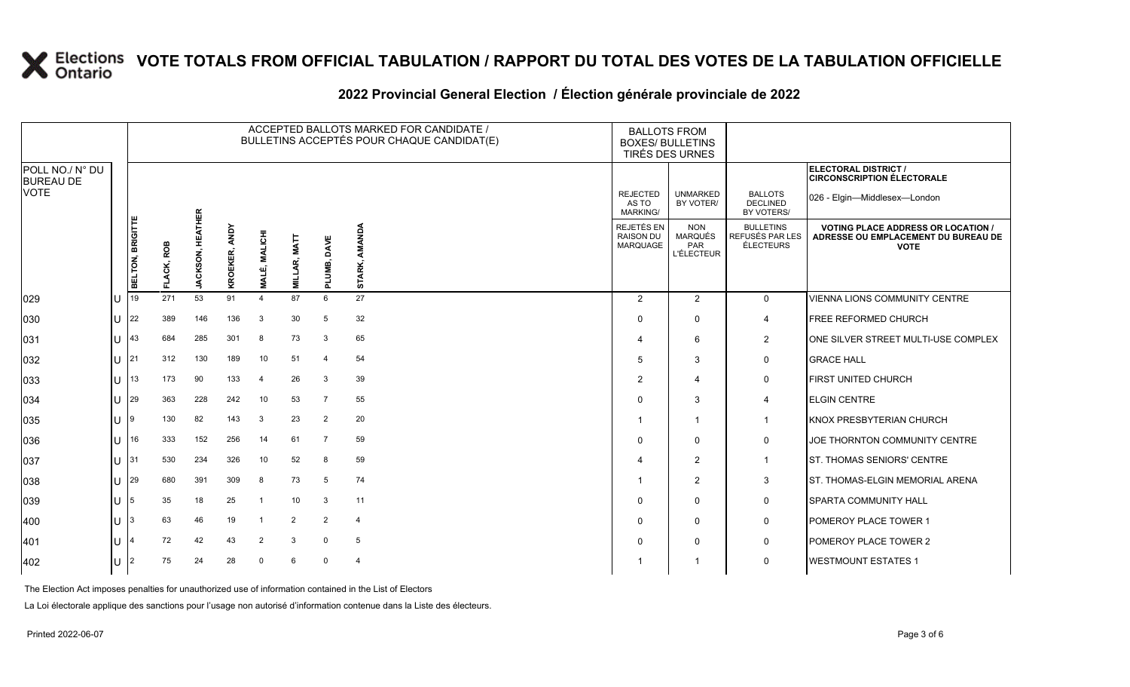#### **2022 Provincial General Election / Élection générale provinciale de 2022**

|                                     |    | ACCEPTED BALLOTS MARKED FOR CANDIDATE /<br>BULLETINS ACCEPTÉS POUR CHAQUE CANDIDAT(E) |                   |                                   |                         |                                     |                |                    |                  | <b>BALLOTS FROM</b><br><b>BOXES/ BULLETINS</b><br>TIRÉS DES URNES |                                                   |                                                  |                                                                                                 |
|-------------------------------------|----|---------------------------------------------------------------------------------------|-------------------|-----------------------------------|-------------------------|-------------------------------------|----------------|--------------------|------------------|-------------------------------------------------------------------|---------------------------------------------------|--------------------------------------------------|-------------------------------------------------------------------------------------------------|
| POLL NO./ N° DU<br><b>BUREAU DE</b> |    |                                                                                       |                   |                                   |                         |                                     |                |                    |                  |                                                                   |                                                   |                                                  | ELECTORAL DISTRICT /<br><b>CIRCONSCRIPTION ÉLECTORALE</b>                                       |
| <b>VOTE</b>                         |    |                                                                                       |                   |                                   |                         |                                     |                |                    |                  | <b>REJECTED</b><br>AS TO<br><b>MARKING/</b>                       | <b>UNMARKED</b><br>BY VOTER/                      | <b>BALLOTS</b><br><b>DECLINED</b><br>BY VOTERS/  | 026 - Elgin-Middlesex-London                                                                    |
|                                     |    | BELTON, BRIGITTE                                                                      | ROB<br>LACK,<br>正 | <b>HEATHER</b><br><b>JACKSON,</b> | <b>ANDY</b><br>KROEKER, | <b>MALICHI</b><br>எர்<br><b>LAN</b> | AR, MAT<br>글   | DAVE<br>LUMB,<br>ᇍ | AMANDA<br>STARK, | REJETÉS EN<br><b>RAISON DU</b><br>MARQUAGE                        | <b>NON</b><br>MARQUÉS<br>PAR<br><b>L'ÉLECTEUR</b> | <b>BULLETINS</b><br>REFUSÉS PAR LES<br>ÉLECTEURS | <b>VOTING PLACE ADDRESS OR LOCATION /</b><br>ADRESSE OU EMPLACEMENT DU BUREAU DE<br><b>VOTE</b> |
| 029                                 | lυ | 19                                                                                    | 271               | 53                                | 91                      | $\overline{4}$                      | 87             | 6                  | 27               | $\overline{2}$                                                    | 2                                                 | $\mathbf{0}$                                     | <b>VIENNA LIONS COMMUNITY CENTRE</b>                                                            |
| 030                                 | ΙU | 22                                                                                    | 389               | 146                               | 136                     | 3                                   | 30             | 5                  | 32               | $\Omega$                                                          | $\Omega$                                          | 4                                                | <b>FREE REFORMED CHURCH</b>                                                                     |
| 031                                 | IU | 43                                                                                    | 684               | 285                               | 301                     | 8                                   | 73             | 3                  | 65               |                                                                   | 6                                                 | $\overline{2}$                                   | ONE SILVER STREET MULTI-USE COMPLEX                                                             |
| 032                                 | Ш  | 21                                                                                    | 312               | 130                               | 189                     | 10                                  | 51             | $\overline{4}$     | 54               | .5                                                                | 3                                                 | $\mathbf 0$                                      | <b>GRACE HALL</b>                                                                               |
| 033                                 | lθ | 13                                                                                    | 173               | 90                                | 133                     | $\overline{4}$                      | 26             | 3                  | 39               | 2                                                                 | $\overline{4}$                                    | $\mathbf 0$                                      | <b>FIRST UNITED CHURCH</b>                                                                      |
| 034                                 | IП | 29                                                                                    | 363               | 228                               | 242                     | 10                                  | 53             | $\overline{7}$     | 55               | $\Omega$                                                          | 3                                                 | 4                                                | <b>ELGIN CENTRE</b>                                                                             |
| 035                                 | lΠ | 9                                                                                     | 130               | 82                                | 143                     | 3                                   | 23             | $\overline{2}$     | 20               |                                                                   | $\mathbf{1}$                                      | $\mathbf 1$                                      | <b>KNOX PRESBYTERIAN CHURCH</b>                                                                 |
| 036                                 | IП | 16                                                                                    | 333               | 152                               | 256                     | 14                                  | 61             | 7                  | 59               | $\Omega$                                                          | $\mathbf 0$                                       | $\mathbf 0$                                      | JOE THORNTON COMMUNITY CENTRE                                                                   |
| 037                                 | IП | 31                                                                                    | 530               | 234                               | 326                     | 10                                  | 52             | 8                  | 59               |                                                                   | $\overline{2}$                                    | $\overline{1}$                                   | <b>ST. THOMAS SENIORS' CENTRE</b>                                                               |
| 038                                 | IП | 29                                                                                    | 680               | 391                               | 309                     | 8                                   | 73             | -5                 | 74               |                                                                   | $\overline{2}$                                    | 3                                                | <b>ST. THOMAS-ELGIN MEMORIAL ARENA</b>                                                          |
| 039                                 | ΙU | 5                                                                                     | 35                | 18                                | 25                      | -1                                  | 10             | 3                  | 11               | $\Omega$                                                          | $\Omega$                                          | $\mathsf{O}$                                     | <b>SPARTA COMMUNITY HALL</b>                                                                    |
| 400                                 | Ш  | 3                                                                                     | 63                | 46                                | 19                      | - 1                                 | $\overline{2}$ | $\overline{2}$     | $\overline{4}$   | $\Omega$                                                          | $\mathbf 0$                                       | $\mathbf 0$                                      | <b>POMEROY PLACE TOWER 1</b>                                                                    |
| 401                                 | IП | 4                                                                                     | 72                | 42                                | 43                      | $\overline{2}$                      | 3              | $\mathbf 0$        | 5                | $\Omega$                                                          | $\Omega$                                          | $\mathbf 0$                                      | <b>POMEROY PLACE TOWER 2</b>                                                                    |
| 402                                 | lU | 2                                                                                     | 75                | 24                                | 28                      | $\Omega$                            | 6              | $\Omega$           | $\overline{4}$   |                                                                   |                                                   | $\mathbf 0$                                      | <b>WESTMOUNT ESTATES 1</b>                                                                      |

The Election Act imposes penalties for unauthorized use of information contained in the List of Electors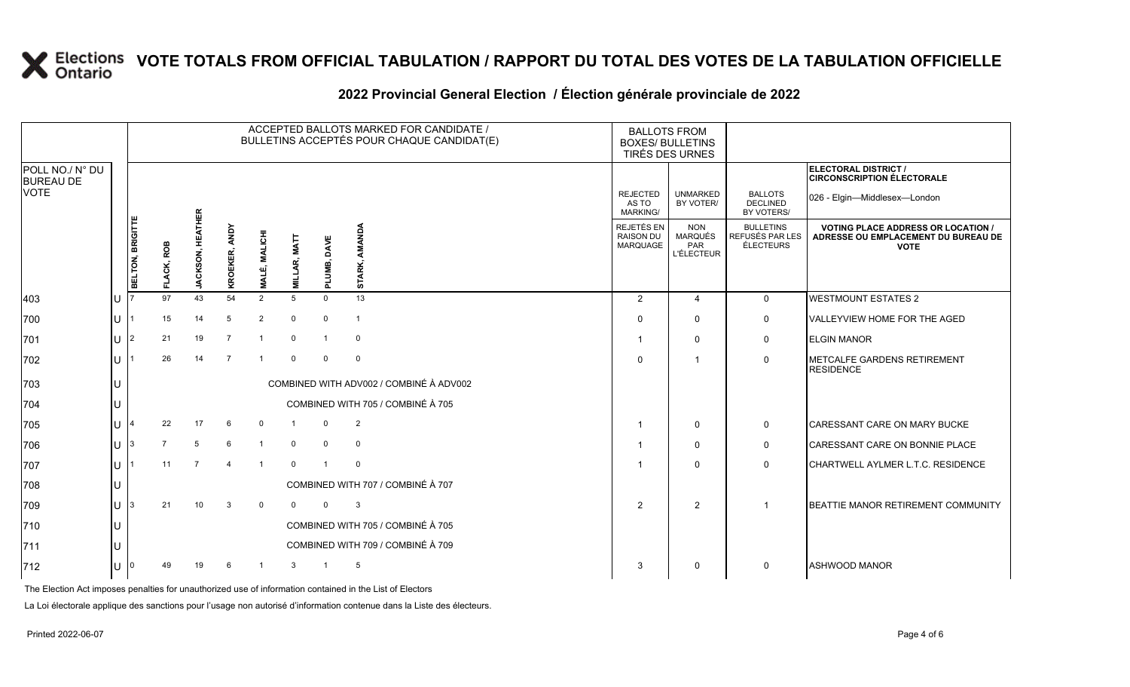#### **2022 Provincial General Election / Élection générale provinciale de 2022**

|                                     |   | ACCEPTED BALLOTS MARKED FOR CANDIDATE /<br>BULLETINS ACCEPTÉS POUR CHAQUE CANDIDAT(E) |                |                         |                |                           |             |                |                                         | <b>BALLOTS FROM</b><br><b>BOXES/ BULLETINS</b><br>TIRÉS DES URNES |                                                          |                                                  |                                                                                                 |
|-------------------------------------|---|---------------------------------------------------------------------------------------|----------------|-------------------------|----------------|---------------------------|-------------|----------------|-----------------------------------------|-------------------------------------------------------------------|----------------------------------------------------------|--------------------------------------------------|-------------------------------------------------------------------------------------------------|
| POLL NO./ N° DU<br><b>BUREAU DE</b> |   |                                                                                       |                |                         |                |                           |             |                |                                         |                                                                   |                                                          |                                                  | ELECTORAL DISTRICT /<br><b>CIRCONSCRIPTION ÉLECTORALE</b>                                       |
| <b>VOTE</b>                         |   |                                                                                       |                |                         |                |                           |             |                |                                         | <b>REJECTED</b><br>AS TO<br><b>MARKING/</b>                       | <b>UNMARKED</b><br>BY VOTER/                             | <b>BALLOTS</b><br><b>DECLINED</b><br>BY VOTERS/  | 026 - Elgin-Middlesex-London                                                                    |
|                                     |   | BELTON, BRIGITTE                                                                      | FLACK, ROB     | <b>JACKSON, HEATHER</b> | KROEKER, ANDY  | É, MALICHI<br><b>LIVN</b> | LAR, MAT    | UMB, DAVE<br>군 | AMANDA<br>STARK,                        | REJETÉS EN<br><b>RAISON DU</b><br>MARQUAGE                        | <b>NON</b><br><b>MARQUÉS</b><br>PAR<br><b>L'ÉLECTEUR</b> | <b>BULLETINS</b><br>REFUSÉS PAR LES<br>ÉLECTEURS | <b>VOTING PLACE ADDRESS OR LOCATION /</b><br>ADRESSE OU EMPLACEMENT DU BUREAU DE<br><b>VOTE</b> |
| 403                                 |   |                                                                                       | 97             | 43                      | 54             | 2                         | $5^{\circ}$ | $\Omega$       | 13                                      | 2                                                                 | $\overline{4}$                                           | $\mathbf{0}$                                     | <b>WESTMOUNT ESTATES 2</b>                                                                      |
| 700                                 | U |                                                                                       | 15             | 14                      | 5              | $\overline{2}$            | $\Omega$    | $\mathbf 0$    | $\overline{1}$                          | $\Omega$                                                          | $\Omega$                                                 | $\mathbf 0$                                      | <b>VALLEYVIEW HOME FOR THE AGED</b>                                                             |
| 701                                 | U | $\overline{2}$                                                                        | 21             | 19                      | $\overline{7}$ | $\overline{1}$            | $\Omega$    | $\mathbf{1}$   | $\mathbf 0$                             |                                                                   | $\Omega$                                                 | $\mathbf 0$                                      | <b>ELGIN MANOR</b>                                                                              |
| 702                                 | U |                                                                                       | 26             | 14                      | $\overline{7}$ | $\overline{1}$            | $\Omega$    | $\mathbf 0$    | $\mathbf 0$                             | $\Omega$                                                          |                                                          | $\mathbf 0$                                      | <b>IMETCALFE GARDENS RETIREMENT</b><br><b>RESIDENCE</b>                                         |
| 703                                 |   |                                                                                       |                |                         |                |                           |             |                | COMBINED WITH ADV002 / COMBINÉ À ADV002 |                                                                   |                                                          |                                                  |                                                                                                 |
| 704                                 |   |                                                                                       |                |                         |                |                           |             |                | COMBINED WITH 705 / COMBINÉ À 705       |                                                                   |                                                          |                                                  |                                                                                                 |
| 705                                 | U |                                                                                       | 22             | 17                      | 6              | $\mathbf 0$               |             | $\Omega$       | $\overline{2}$                          |                                                                   | $\Omega$                                                 | $\mathbf 0$                                      | <b>CARESSANT CARE ON MARY BUCKE</b>                                                             |
| 706                                 | U | 3                                                                                     | $\overline{7}$ | 5                       | 6              | $\overline{1}$            | $\mathbf 0$ | $\mathbf 0$    | $\mathbf 0$                             |                                                                   | $\mathbf 0$                                              | 0                                                | CARESSANT CARE ON BONNIE PLACE                                                                  |
| 707                                 | U |                                                                                       | 11             |                         |                |                           | $\Omega$    |                | $\Omega$                                |                                                                   | $\Omega$                                                 | 0                                                | CHARTWELL AYLMER L.T.C. RESIDENCE                                                               |
| 708                                 |   |                                                                                       |                |                         |                |                           |             |                | COMBINED WITH 707 / COMBINÉ À 707       |                                                                   |                                                          |                                                  |                                                                                                 |
| 709                                 | U | 3                                                                                     | 21             | 10                      | 3              | $\mathbf 0$               | $\Omega$    | $\mathbf 0$    | 3                                       | 2                                                                 | 2                                                        | -1                                               | BEATTIE MANOR RETIREMENT COMMUNITY                                                              |
| 710                                 |   |                                                                                       |                |                         |                |                           |             |                | COMBINED WITH 705 / COMBINÉ À 705       |                                                                   |                                                          |                                                  |                                                                                                 |
| $ 711$                              |   |                                                                                       |                |                         |                |                           |             |                | COMBINED WITH 709 / COMBINÉ À 709       |                                                                   |                                                          |                                                  |                                                                                                 |
| 712                                 | U |                                                                                       | 49             | 19                      | 6              |                           | 3           |                | 5                                       | 3                                                                 | $\Omega$                                                 | 0                                                | <b>ASHWOOD MANOR</b>                                                                            |

The Election Act imposes penalties for unauthorized use of information contained in the List of Electors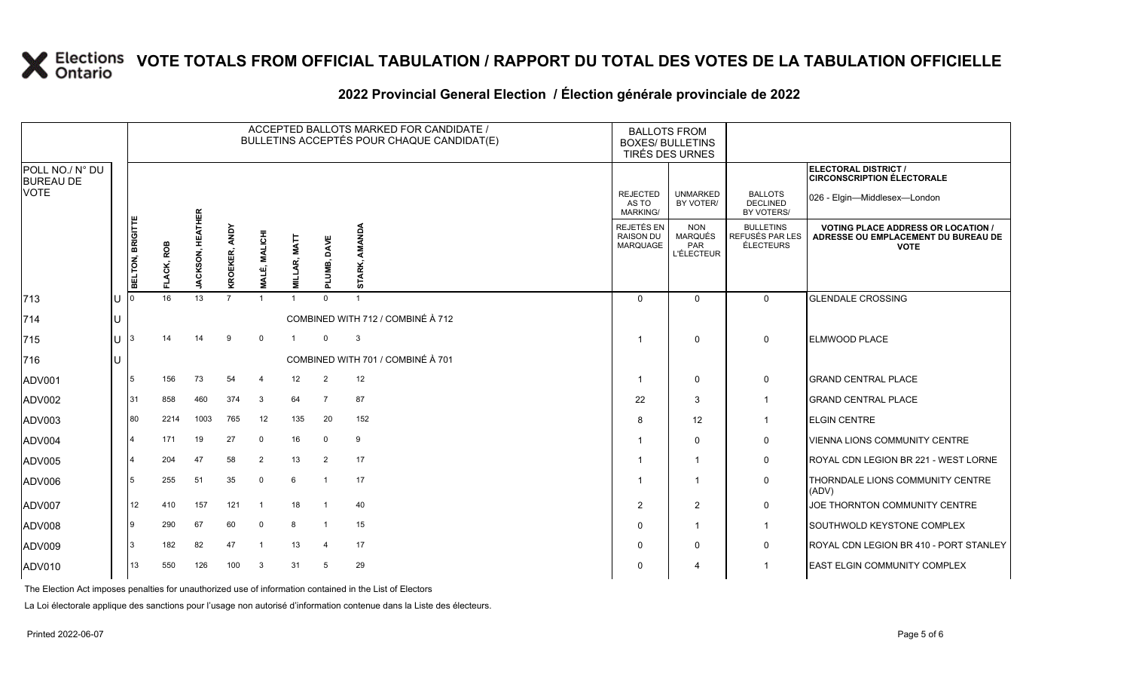#### **2022 Provincial General Election / Élection générale provinciale de 2022**

|                                     |    |                  |            |                         |                |                           |                         |                         | ACCEPTED BALLOTS MARKED FOR CANDIDATE /<br>BULLETINS ACCEPTÉS POUR CHAQUE CANDIDAT(E) |                                                   | <b>BALLOTS FROM</b><br><b>BOXES/ BULLETINS</b><br>TIRÉS DES URNES |                                                  |                                                                                                 |
|-------------------------------------|----|------------------|------------|-------------------------|----------------|---------------------------|-------------------------|-------------------------|---------------------------------------------------------------------------------------|---------------------------------------------------|-------------------------------------------------------------------|--------------------------------------------------|-------------------------------------------------------------------------------------------------|
| POLL NO./ N° DU<br><b>BUREAU DE</b> |    |                  |            |                         |                |                           |                         |                         |                                                                                       |                                                   |                                                                   |                                                  | ELECTORAL DISTRICT /<br><b>CIRCONSCRIPTION ÉLECTORALE</b>                                       |
| <b>VOTE</b>                         |    |                  |            |                         |                |                           |                         |                         |                                                                                       | <b>REJECTED</b><br>AS TO<br><b>MARKING/</b>       | <b>UNMARKED</b><br>BY VOTER/                                      | <b>BALLOTS</b><br>DECLINED<br>BY VOTERS/         | 026 - Elgin-Middlesex-London                                                                    |
|                                     |    | BELTON, BRIGITTE | FLACK, ROB | <b>JACKSON, HEATHER</b> | KROEKER, ANDY  | É, MALICHI<br><b>NALI</b> | <b>MATT</b><br>ĄŔ,<br>글 | PLUMB, DAVE             | AMANDA<br>STARK,                                                                      | REJETÉS EN<br><b>RAISON DU</b><br><b>MARQUAGE</b> | <b>NON</b><br><b>MARQUÉS</b><br>PAR<br><b>L'ÉLECTEUR</b>          | <b>BULLETINS</b><br>REFUSÉS PAR LES<br>ÉLECTEURS | <b>VOTING PLACE ADDRESS OR LOCATION /</b><br>ADRESSE OU EMPLACEMENT DU BUREAU DE<br><b>VOTE</b> |
| 713                                 | lU |                  | 16         | 13                      | $\overline{7}$ | $\overline{1}$            |                         | $\Omega$                |                                                                                       | $\Omega$                                          | $\Omega$                                                          | $\mathbf 0$                                      | <b>GLENDALE CROSSING</b>                                                                        |
| 714                                 | lU |                  |            |                         |                |                           |                         |                         | COMBINED WITH 712 / COMBINÉ À 712                                                     |                                                   |                                                                   |                                                  |                                                                                                 |
| 715                                 | lu | 3                | 14         | 14                      | 9              | $\overline{0}$            |                         | $\Omega$                | 3                                                                                     |                                                   | $\Omega$                                                          | $\mathbf 0$                                      | <b>ELMWOOD PLACE</b>                                                                            |
| 716                                 | lU |                  |            |                         |                |                           |                         |                         | COMBINED WITH 701 / COMBINÉ À 701                                                     |                                                   |                                                                   |                                                  |                                                                                                 |
| ADV001                              |    | 5                | 156        | 73                      | 54             | $\overline{4}$            | 12                      | 2                       | 12                                                                                    | $\overline{\mathbf{1}}$                           | 0                                                                 | 0                                                | <b>GRAND CENTRAL PLACE</b>                                                                      |
| ADV002                              |    | 31               | 858        | 460                     | 374            | $\mathbf{3}$              | 64                      | $\overline{7}$          | 87                                                                                    | 22                                                | 3                                                                 | $\mathbf{1}$                                     | <b>GRAND CENTRAL PLACE</b>                                                                      |
| ADV003                              |    | 80               | 2214       | 1003                    | 765            | 12                        | 135                     | 20                      | 152                                                                                   | 8                                                 | 12                                                                |                                                  | <b>ELGIN CENTRE</b>                                                                             |
| ADV004                              |    | $\overline{4}$   | 171        | 19                      | 27             | $\Omega$                  | 16                      | $\mathbf 0$             | 9                                                                                     |                                                   | $\Omega$                                                          | $\mathbf 0$                                      | VIENNA LIONS COMMUNITY CENTRE                                                                   |
| ADV005                              |    | $\overline{4}$   | 204        | 47                      | 58             | 2                         | 13                      | 2                       | 17                                                                                    |                                                   |                                                                   | $\mathbf 0$                                      | ROYAL CDN LEGION BR 221 - WEST LORNE                                                            |
| ADV006                              |    | 5                | 255        | 51                      | 35             | $\overline{0}$            | 6                       | $\overline{1}$          | 17                                                                                    |                                                   |                                                                   | 0                                                | THORNDALE LIONS COMMUNITY CENTRE<br>(ADV)                                                       |
| ADV007                              |    | 12               | 410        | 157                     | 121            | -1                        | 18                      | - 1                     | 40                                                                                    | $\overline{2}$                                    | $\overline{2}$                                                    | $\mathbf 0$                                      | JOE THORNTON COMMUNITY CENTRE                                                                   |
| ADV008                              |    | 9                | 290        | 67                      | 60             | $\mathbf 0$               | 8                       | $\overline{\mathbf{1}}$ | 15                                                                                    | $\Omega$                                          | 1                                                                 | $\mathbf{1}$                                     | SOUTHWOLD KEYSTONE COMPLEX                                                                      |
| ADV009                              |    | 3                | 182        | 82                      | 47             | $\overline{1}$            | 13                      | $\overline{4}$          | 17                                                                                    | $\mathbf 0$                                       | $\Omega$                                                          | $\mathbf 0$                                      | ROYAL CDN LEGION BR 410 - PORT STANLEY                                                          |
| ADV010                              |    | 13               | 550        | 126                     | 100            | 3                         | 31                      | 5                       | 29                                                                                    | $\Omega$                                          | 4                                                                 |                                                  | EAST ELGIN COMMUNITY COMPLEX                                                                    |

The Election Act imposes penalties for unauthorized use of information contained in the List of Electors